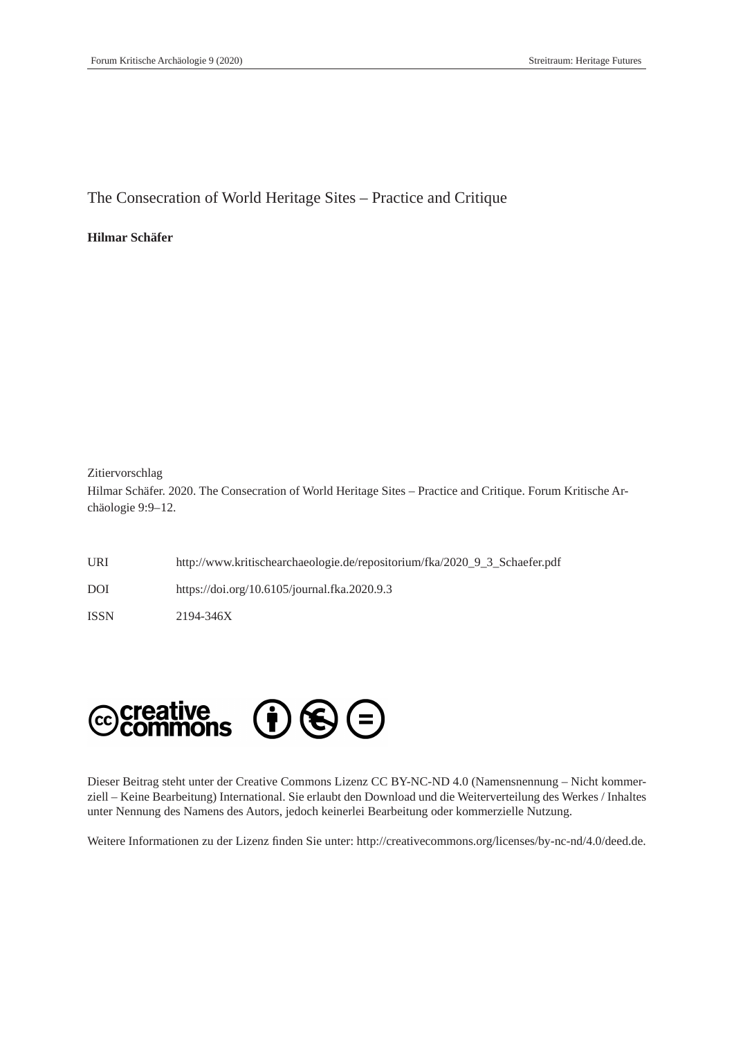The Consecration of World Heritage Sites – Practice and Critique

### **Hilmar Schäfer**

#### Zitiervorschlag

Hilmar Schäfer. 2020. The Consecration of World Heritage Sites – Practice and Critique. Forum Kritische Archäologie 9:9–12.

URI http://www.kritischearchaeologie.de/repositorium/fka/2020\_9\_3\_Schaefer.pdf DOI https://doi.org/10.6105/journal.fka.2020.9.3

ISSN 2194-346X



Dieser Beitrag steht unter der Creative Commons Lizenz CC BY-NC-ND 4.0 (Namensnennung – Nicht kommerziell – Keine Bearbeitung) International. Sie erlaubt den Download und die Weiterverteilung des Werkes / Inhaltes unter Nennung des Namens des Autors, jedoch keinerlei Bearbeitung oder kommerzielle Nutzung.

Weitere Informationen zu der Lizenz finden Sie unter: http://creativecommons.org/licenses/by-nc-nd/4.0/deed.de.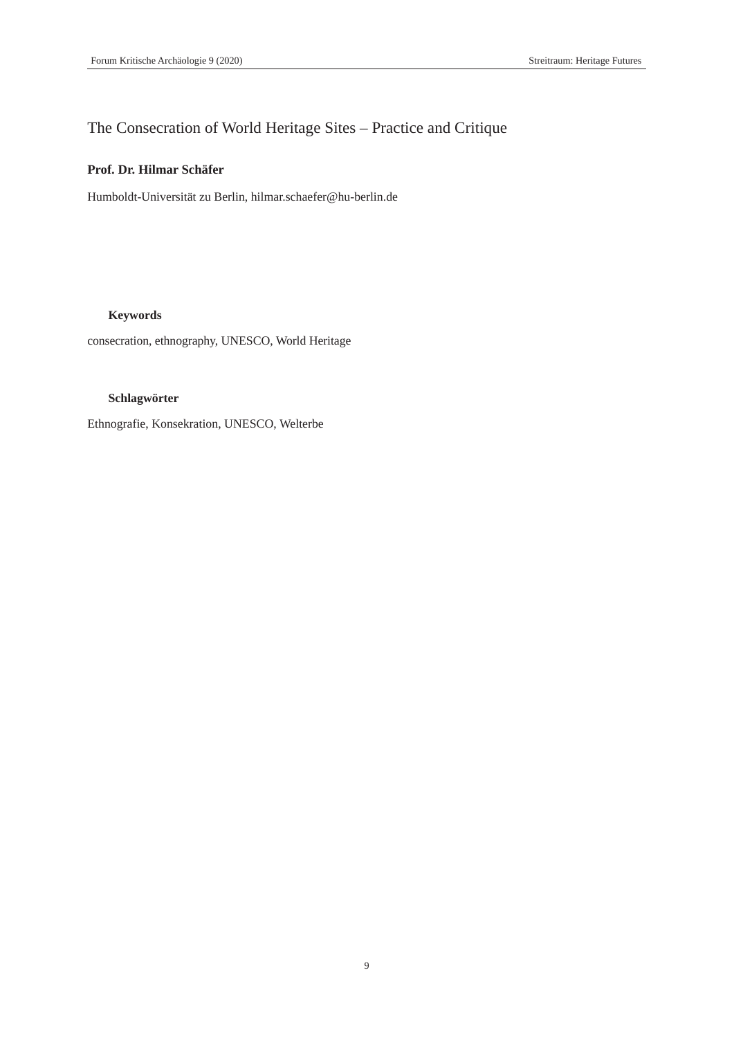# The Consecration of World Heritage Sites – Practice and Critique

# **Prof. Dr. Hilmar Schäfer**

Humboldt-Universität zu Berlin, hilmar.schaefer@hu-berlin.de

## **Keywords**

consecration, ethnography, UNESCO, World Heritage

### **Schlagwörter**

Ethnografie, Konsekration, UNESCO, Welterbe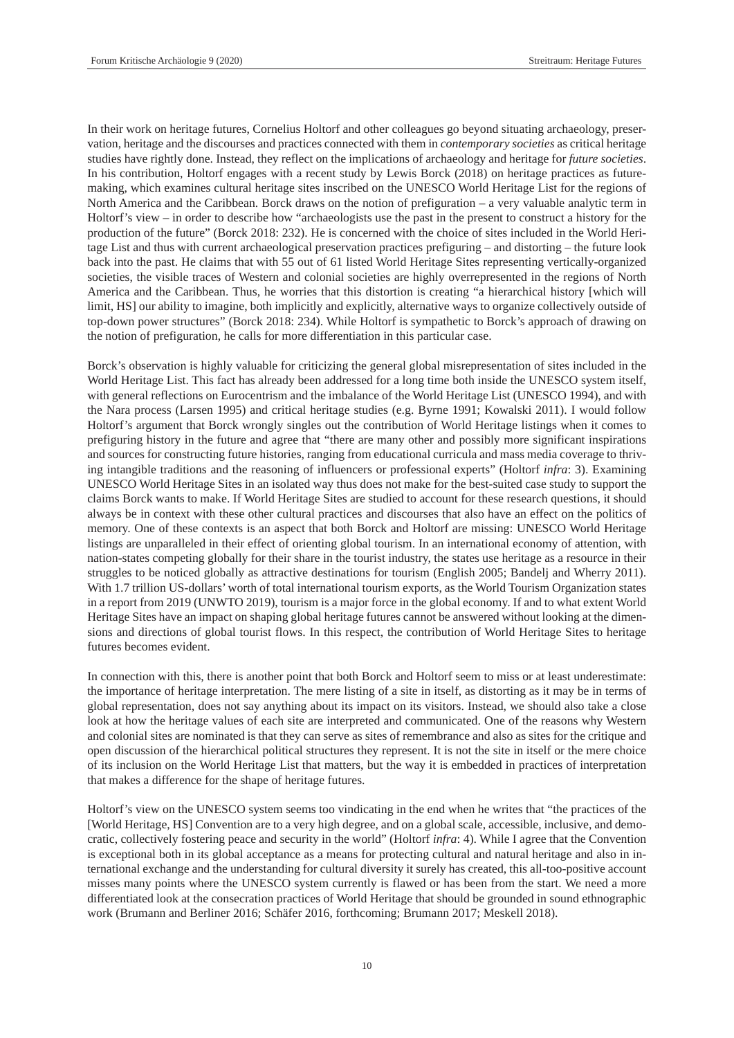In their work on heritage futures, Cornelius Holtorf and other colleagues go beyond situating archaeology, preservation, heritage and the discourses and practices connected with them in *contemporary societies* as critical heritage studies have rightly done. Instead, they reflect on the implications of archaeology and heritage for *future societies*. In his contribution, Holtorf engages with a recent study by Lewis Borck (2018) on heritage practices as futuremaking, which examines cultural heritage sites inscribed on the UNESCO World Heritage List for the regions of North America and the Caribbean. Borck draws on the notion of prefiguration – a very valuable analytic term in Holtorf's view – in order to describe how "archaeologists use the past in the present to construct a history for the production of the future" (Borck 2018: 232). He is concerned with the choice of sites included in the World Heritage List and thus with current archaeological preservation practices prefiguring – and distorting – the future look back into the past. He claims that with 55 out of 61 listed World Heritage Sites representing vertically-organized societies, the visible traces of Western and colonial societies are highly overrepresented in the regions of North America and the Caribbean. Thus, he worries that this distortion is creating "a hierarchical history [which will limit, HS] our ability to imagine, both implicitly and explicitly, alternative ways to organize collectively outside of top-down power structures" (Borck 2018: 234). While Holtorf is sympathetic to Borck's approach of drawing on the notion of prefiguration, he calls for more differentiation in this particular case.

Borck's observation is highly valuable for criticizing the general global misrepresentation of sites included in the World Heritage List. This fact has already been addressed for a long time both inside the UNESCO system itself, with general reflections on Eurocentrism and the imbalance of the World Heritage List (UNESCO 1994), and with the Nara process (Larsen 1995) and critical heritage studies (e.g. Byrne 1991; Kowalski 2011). I would follow Holtorf's argument that Borck wrongly singles out the contribution of World Heritage listings when it comes to prefiguring history in the future and agree that "there are many other and possibly more significant inspirations and sources for constructing future histories, ranging from educational curricula and mass media coverage to thriving intangible traditions and the reasoning of influencers or professional experts" (Holtorf *infra*: 3). Examining UNESCO World Heritage Sites in an isolated way thus does not make for the best-suited case study to support the claims Borck wants to make. If World Heritage Sites are studied to account for these research questions, it should always be in context with these other cultural practices and discourses that also have an effect on the politics of memory. One of these contexts is an aspect that both Borck and Holtorf are missing: UNESCO World Heritage listings are unparalleled in their effect of orienting global tourism. In an international economy of attention, with nation-states competing globally for their share in the tourist industry, the states use heritage as a resource in their struggles to be noticed globally as attractive destinations for tourism (English 2005; Bandelj and Wherry 2011). With 1.7 trillion US-dollars' worth of total international tourism exports, as the World Tourism Organization states in a report from 2019 (UNWTO 2019), tourism is a major force in the global economy. If and to what extent World Heritage Sites have an impact on shaping global heritage futures cannot be answered without looking at the dimensions and directions of global tourist flows. In this respect, the contribution of World Heritage Sites to heritage futures becomes evident.

In connection with this, there is another point that both Borck and Holtorf seem to miss or at least underestimate: the importance of heritage interpretation. The mere listing of a site in itself, as distorting as it may be in terms of global representation, does not say anything about its impact on its visitors. Instead, we should also take a close look at how the heritage values of each site are interpreted and communicated. One of the reasons why Western and colonial sites are nominated is that they can serve as sites of remembrance and also as sites for the critique and open discussion of the hierarchical political structures they represent. It is not the site in itself or the mere choice of its inclusion on the World Heritage List that matters, but the way it is embedded in practices of interpretation that makes a difference for the shape of heritage futures.

Holtorf's view on the UNESCO system seems too vindicating in the end when he writes that "the practices of the [World Heritage, HS] Convention are to a very high degree, and on a global scale, accessible, inclusive, and democratic, collectively fostering peace and security in the world" (Holtorf *infra*: 4). While I agree that the Convention is exceptional both in its global acceptance as a means for protecting cultural and natural heritage and also in international exchange and the understanding for cultural diversity it surely has created, this all-too-positive account misses many points where the UNESCO system currently is flawed or has been from the start. We need a more differentiated look at the consecration practices of World Heritage that should be grounded in sound ethnographic work (Brumann and Berliner 2016; Schäfer 2016, forthcoming; Brumann 2017; Meskell 2018).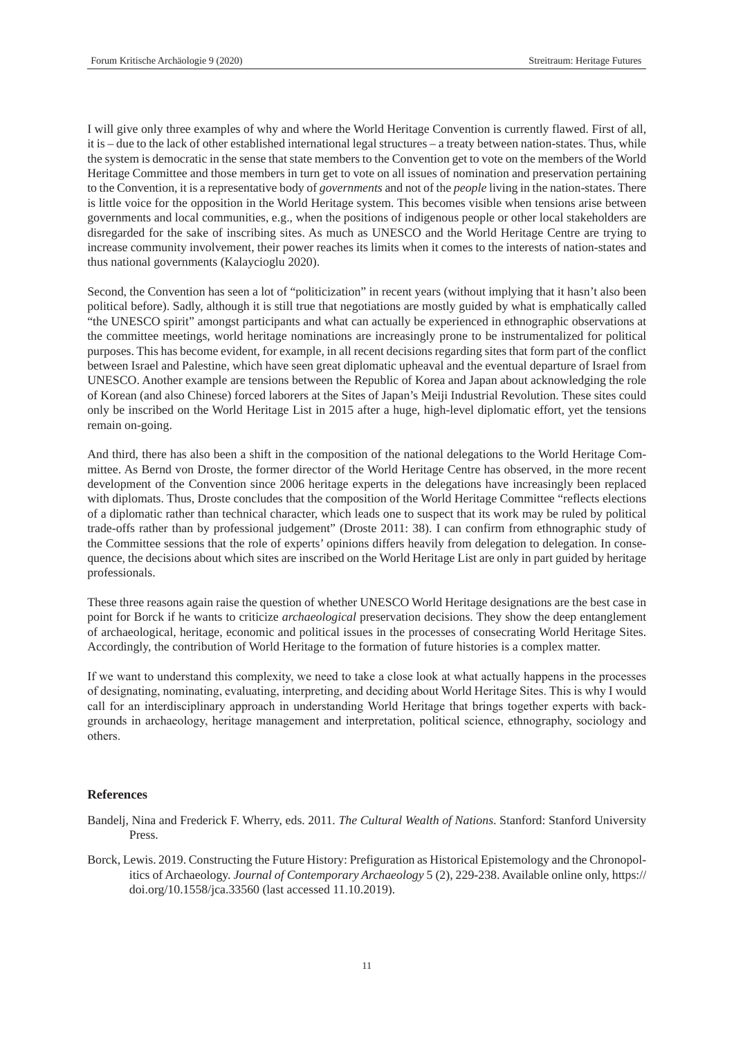I will give only three examples of why and where the World Heritage Convention is currently flawed. First of all, it is – due to the lack of other established international legal structures – a treaty between nation-states. Thus, while the system is democratic in the sense that state members to the Convention get to vote on the members of the World Heritage Committee and those members in turn get to vote on all issues of nomination and preservation pertaining to the Convention, it is a representative body of *governments* and not of the *people* living in the nation-states. There is little voice for the opposition in the World Heritage system. This becomes visible when tensions arise between governments and local communities, e.g., when the positions of indigenous people or other local stakeholders are disregarded for the sake of inscribing sites. As much as UNESCO and the World Heritage Centre are trying to increase community involvement, their power reaches its limits when it comes to the interests of nation-states and thus national governments (Kalaycioglu 2020).

Second, the Convention has seen a lot of "politicization" in recent years (without implying that it hasn't also been political before). Sadly, although it is still true that negotiations are mostly guided by what is emphatically called "the UNESCO spirit" amongst participants and what can actually be experienced in ethnographic observations at the committee meetings, world heritage nominations are increasingly prone to be instrumentalized for political purposes. This has become evident, for example, in all recent decisions regarding sites that form part of the conflict between Israel and Palestine, which have seen great diplomatic upheaval and the eventual departure of Israel from UNESCO. Another example are tensions between the Republic of Korea and Japan about acknowledging the role of Korean (and also Chinese) forced laborers at the Sites of Japan's Meiji Industrial Revolution. These sites could only be inscribed on the World Heritage List in 2015 after a huge, high-level diplomatic effort, yet the tensions remain on-going.

And third, there has also been a shift in the composition of the national delegations to the World Heritage Committee. As Bernd von Droste, the former director of the World Heritage Centre has observed, in the more recent development of the Convention since 2006 heritage experts in the delegations have increasingly been replaced with diplomats. Thus, Droste concludes that the composition of the World Heritage Committee "reflects elections of a diplomatic rather than technical character, which leads one to suspect that its work may be ruled by political trade-offs rather than by professional judgement" (Droste 2011: 38). I can confirm from ethnographic study of the Committee sessions that the role of experts' opinions differs heavily from delegation to delegation. In consequence, the decisions about which sites are inscribed on the World Heritage List are only in part guided by heritage professionals.

These three reasons again raise the question of whether UNESCO World Heritage designations are the best case in point for Borck if he wants to criticize *archaeological* preservation decisions. They show the deep entanglement of archaeological, heritage, economic and political issues in the processes of consecrating World Heritage Sites. Accordingly, the contribution of World Heritage to the formation of future histories is a complex matter.

If we want to understand this complexity, we need to take a close look at what actually happens in the processes of designating, nominating, evaluating, interpreting, and deciding about World Heritage Sites. This is why I would call for an interdisciplinary approach in understanding World Heritage that brings together experts with backgrounds in archaeology, heritage management and interpretation, political science, ethnography, sociology and others.

#### **References**

- Bandelj, Nina and Frederick F. Wherry, eds. 2011. *The Cultural Wealth of Nations*. Stanford: Stanford University Press.
- Borck, Lewis. 2019. Constructing the Future History: Prefiguration as Historical Epistemology and the Chronopolitics of Archaeology. *Journal of Contemporary Archaeology* 5 (2), 229-238. Available online only, https:// doi.org/10.1558/jca.33560 (last accessed 11.10.2019).